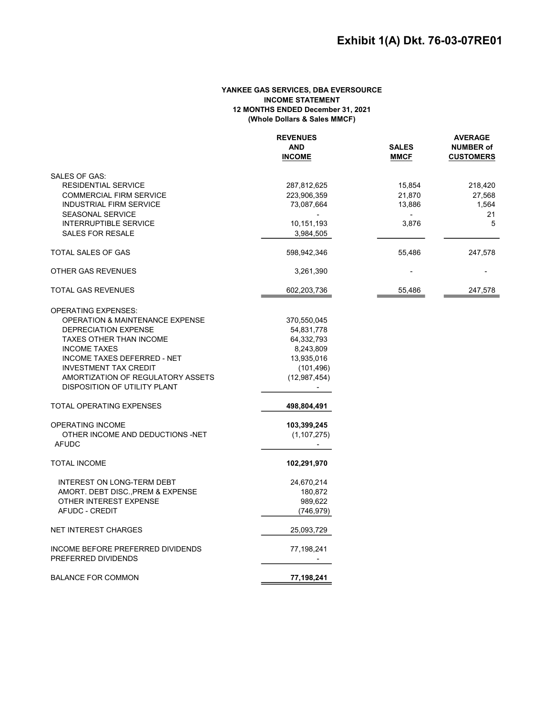### YANKEE GAS SERVICES, DBA EVERSOURCE INCOME STATEMENT 12 MONTHS ENDED December 31, 2021 (Whole Dollars & Sales MMCF)

|                                            | <b>REVENUES</b> |              | <b>AVERAGE</b>   |  |
|--------------------------------------------|-----------------|--------------|------------------|--|
|                                            | <b>AND</b>      | <b>SALES</b> | <b>NUMBER of</b> |  |
|                                            | <b>INCOME</b>   | <b>MMCF</b>  | <b>CUSTOMERS</b> |  |
| <b>SALES OF GAS:</b>                       |                 |              |                  |  |
| <b>RESIDENTIAL SERVICE</b>                 | 287,812,625     | 15,854       | 218,420          |  |
| <b>COMMERCIAL FIRM SERVICE</b>             | 223,906,359     | 21,870       | 27,568           |  |
| <b>INDUSTRIAL FIRM SERVICE</b>             | 73,087,664      | 13,886       | 1,564            |  |
| <b>SEASONAL SERVICE</b>                    |                 |              | 21               |  |
| <b>INTERRUPTIBLE SERVICE</b>               | 10,151,193      | 3,876        | 5                |  |
| <b>SALES FOR RESALE</b>                    | 3,984,505       |              |                  |  |
| <b>TOTAL SALES OF GAS</b>                  | 598,942,346     | 55,486       | 247,578          |  |
| OTHER GAS REVENUES                         | 3,261,390       |              |                  |  |
| <b>TOTAL GAS REVENUES</b>                  | 602,203,736     | 55,486       | 247,578          |  |
| <b>OPERATING EXPENSES:</b>                 |                 |              |                  |  |
| <b>OPERATION &amp; MAINTENANCE EXPENSE</b> | 370,550,045     |              |                  |  |
| DEPRECIATION EXPENSE                       | 54,831,778      |              |                  |  |
| <b>TAXES OTHER THAN INCOME</b>             | 64,332,793      |              |                  |  |
| <b>INCOME TAXES</b>                        | 8,243,809       |              |                  |  |
| <b>INCOME TAXES DEFERRED - NET</b>         | 13,935,016      |              |                  |  |
| <b>INVESTMENT TAX CREDIT</b>               | (101, 496)      |              |                  |  |
| AMORTIZATION OF REGULATORY ASSETS          | (12, 987, 454)  |              |                  |  |
| <b>DISPOSITION OF UTILITY PLANT</b>        |                 |              |                  |  |
| <b>TOTAL OPERATING EXPENSES</b>            | 498,804,491     |              |                  |  |
| OPERATING INCOME                           | 103,399,245     |              |                  |  |
| OTHER INCOME AND DEDUCTIONS -NET           | (1, 107, 275)   |              |                  |  |
| <b>AFUDC</b>                               | $\sim$          |              |                  |  |
| <b>TOTAL INCOME</b>                        | 102,291,970     |              |                  |  |
| INTEREST ON LONG-TERM DEBT                 | 24,670,214      |              |                  |  |
| AMORT. DEBT DISC., PREM & EXPENSE          | 180,872         |              |                  |  |
| OTHER INTEREST EXPENSE                     | 989,622         |              |                  |  |
| AFUDC - CREDIT                             | (746, 979)      |              |                  |  |
| <b>NET INTEREST CHARGES</b>                | 25,093,729      |              |                  |  |
| INCOME BEFORE PREFERRED DIVIDENDS          | 77,198,241      |              |                  |  |
| PREFERRED DIVIDENDS                        |                 |              |                  |  |
| <b>BALANCE FOR COMMON</b>                  | 77,198,241      |              |                  |  |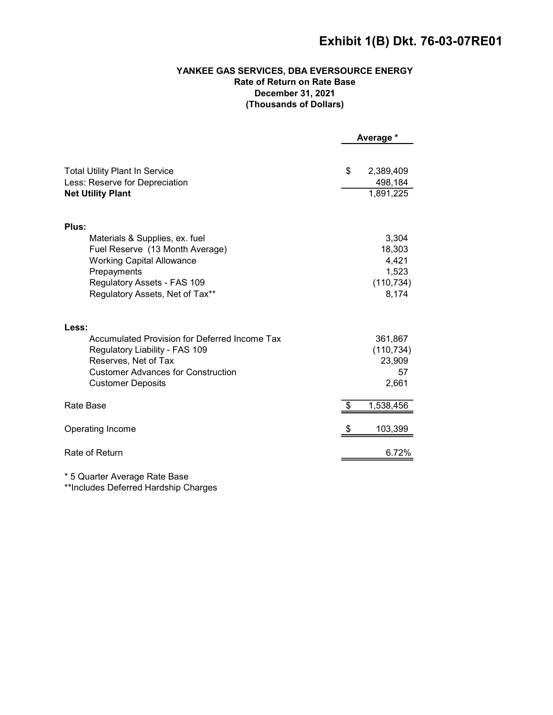# Exhibit 1(B) Dkt. 76-03-07RE01

# YANKEE GAS SERVICES, DBA EVERSOURCE ENERGY Rate of Return on Rate Base December 31, 2021 (Thousands of Dollars)

|                                                                                                                                                                                           | Average *                                                |
|-------------------------------------------------------------------------------------------------------------------------------------------------------------------------------------------|----------------------------------------------------------|
| <b>Total Utility Plant In Service</b><br>Less: Reserve for Depreciation<br><b>Net Utility Plant</b>                                                                                       | \$<br>2,389,409<br>498,184<br>1,891,225                  |
| Plus:                                                                                                                                                                                     |                                                          |
| Materials & Supplies, ex. fuel<br>Fuel Reserve (13 Month Average)<br><b>Working Capital Allowance</b><br>Prepayments<br>Regulatory Assets - FAS 109<br>Regulatory Assets, Net of Tax**    | 3,304<br>18,303<br>4,421<br>1,523<br>(110, 734)<br>8,174 |
| Less:<br>Accumulated Provision for Deferred Income Tax<br>Regulatory Liability - FAS 109<br>Reserves, Net of Tax<br><b>Customer Advances for Construction</b><br><b>Customer Deposits</b> | 361,867<br>(110, 734)<br>23,909<br>57<br>2,661           |
| Rate Base                                                                                                                                                                                 | 1,538,456                                                |
| Operating Income                                                                                                                                                                          | 103,399                                                  |
| Rate of Return                                                                                                                                                                            | 6.72%                                                    |

\* 5 Quarter Average Rate Base

\*\*Includes Deferred Hardship Charges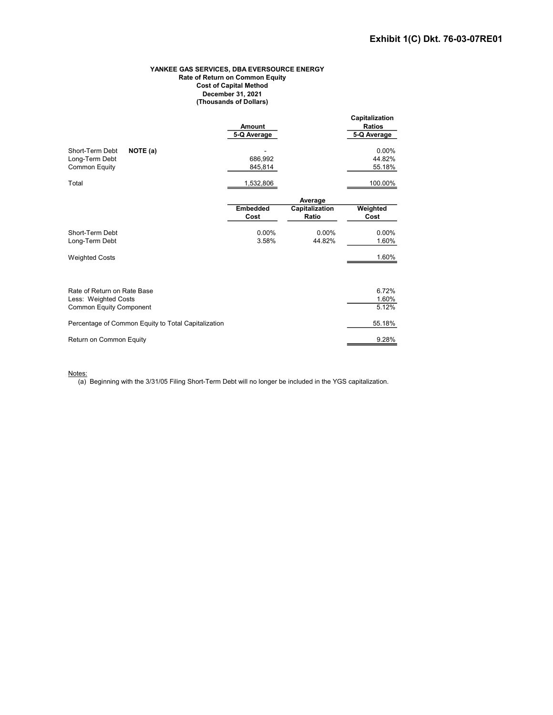#### YANKEE GAS SERVICES, DBA EVERSOURCE ENERGY Rate of Return on Common Equity Cost of Capital Method December 31, 2021 (Thousands of Dollars)

|                                                                                       | Amount<br>5-Q Average   |                         | Capitalization<br><b>Ratios</b><br>5-Q Average |
|---------------------------------------------------------------------------------------|-------------------------|-------------------------|------------------------------------------------|
| Short-Term Debt<br>NOTE (a)<br>Long-Term Debt<br><b>Common Equity</b>                 | 686,992<br>845,814      |                         | 0.00%<br>44.82%<br>55.18%                      |
| Total                                                                                 | 1,532,806               |                         | 100.00%                                        |
|                                                                                       |                         | Average                 |                                                |
|                                                                                       | <b>Embedded</b><br>Cost | Capitalization<br>Ratio | Weighted<br>Cost                               |
| Short-Term Debt<br>Long-Term Debt                                                     | $0.00\%$<br>3.58%       | 0.00%<br>44.82%         | $0.00\%$<br>1.60%                              |
| <b>Weighted Costs</b>                                                                 |                         |                         | 1.60%                                          |
| Rate of Return on Rate Base<br>Less: Weighted Costs<br><b>Common Equity Component</b> |                         |                         | 6.72%<br>1.60%<br>5.12%                        |
| Percentage of Common Equity to Total Capitalization                                   |                         |                         | 55.18%                                         |
| Return on Common Equity                                                               |                         |                         | 9.28%                                          |

Notes:

 $\overline{(a)}$  Beginning with the 3/31/05 Filing Short-Term Debt will no longer be included in the YGS capitalization.